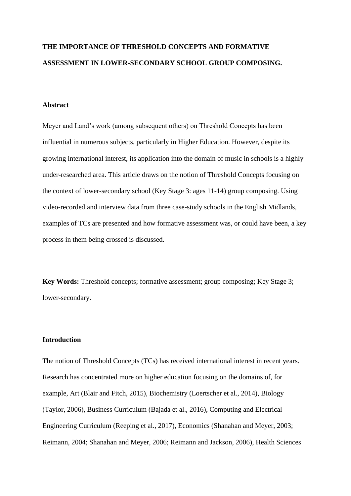# **THE IMPORTANCE OF THRESHOLD CONCEPTS AND FORMATIVE ASSESSMENT IN LOWER-SECONDARY SCHOOL GROUP COMPOSING.**

### **Abstract**

Meyer and Land's work (among subsequent others) on Threshold Concepts has been influential in numerous subjects, particularly in Higher Education. However, despite its growing international interest, its application into the domain of music in schools is a highly under-researched area. This article draws on the notion of Threshold Concepts focusing on the context of lower-secondary school (Key Stage 3: ages 11-14) group composing. Using video-recorded and interview data from three case-study schools in the English Midlands, examples of TCs are presented and how formative assessment was, or could have been, a key process in them being crossed is discussed.

**Key Words:** Threshold concepts; formative assessment; group composing; Key Stage 3; lower-secondary.

### **Introduction**

The notion of Threshold Concepts (TCs) has received international interest in recent years. Research has concentrated more on higher education focusing on the domains of, for example, Art (Blair and Fitch, 2015), Biochemistry (Loertscher et al., 2014), Biology (Taylor, 2006), Business Curriculum (Bajada et al., 2016), Computing and Electrical Engineering Curriculum (Reeping et al., 2017), Economics (Shanahan and Meyer, 2003; Reimann, 2004; Shanahan and Meyer, 2006; Reimann and Jackson, 2006), Health Sciences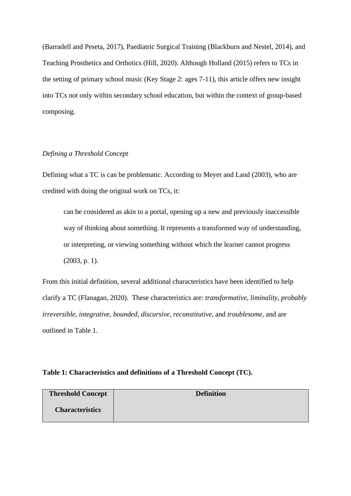(Barradell and Peseta, 2017), Paediatric Surgical Training (Blackburn and Nestel, 2014), and Teaching Prosthetics and Orthotics (Hill, 2020). Although Holland (2015) refers to TCs in the setting of primary school music (Key Stage 2: ages 7-11), this article offers new insight into TCs not only within secondary school education, but within the context of group-based composing.

## *Defining a Threshold Concept*

Defining what a TC is can be problematic. According to Meyer and Land (2003), who are credited with doing the original work on TCs, it:

can be considered as akin to a portal, opening up a new and previously inaccessible way of thinking about something. It represents a transformed way of understanding, or interpreting, or viewing something without which the learner cannot progress (2003, p. 1).

From this initial definition, several additional characteristics have been identified to help clarify a TC (Flanagan, 2020). These characteristics are: *transformative, liminality, probably irreversible, integrative, bounded, discursive, reconstitutive,* and *troublesome,* and are outlined in Table 1.

## **Table 1: Characteristics and definitions of a Threshold Concept (TC).**

| <b>Threshold Concept</b> | <b>Definition</b> |
|--------------------------|-------------------|
| <b>Characteristics</b>   |                   |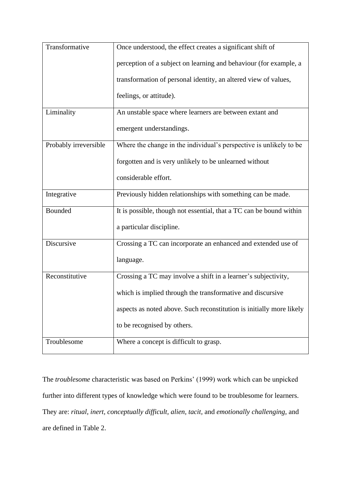| Transformative        | Once understood, the effect creates a significant shift of           |
|-----------------------|----------------------------------------------------------------------|
|                       | perception of a subject on learning and behaviour (for example, a    |
|                       | transformation of personal identity, an altered view of values,      |
|                       | feelings, or attitude).                                              |
| Liminality            | An unstable space where learners are between extant and              |
|                       | emergent understandings.                                             |
| Probably irreversible | Where the change in the individual's perspective is unlikely to be   |
|                       | forgotten and is very unlikely to be unlearned without               |
|                       | considerable effort.                                                 |
| Integrative           | Previously hidden relationships with something can be made.          |
| Bounded               | It is possible, though not essential, that a TC can be bound within  |
|                       | a particular discipline.                                             |
| Discursive            | Crossing a TC can incorporate an enhanced and extended use of        |
|                       | language.                                                            |
| Reconstitutive        | Crossing a TC may involve a shift in a learner's subjectivity,       |
|                       | which is implied through the transformative and discursive           |
|                       | aspects as noted above. Such reconstitution is initially more likely |
|                       | to be recognised by others.                                          |
| Troublesome           | Where a concept is difficult to grasp.                               |

The *troublesome* characteristic was based on Perkins' (1999) work which can be unpicked further into different types of knowledge which were found to be troublesome for learners. They are: *ritual, inert, conceptually difficult, alien, tacit,* and *emotionally challenging,* and are defined in Table 2.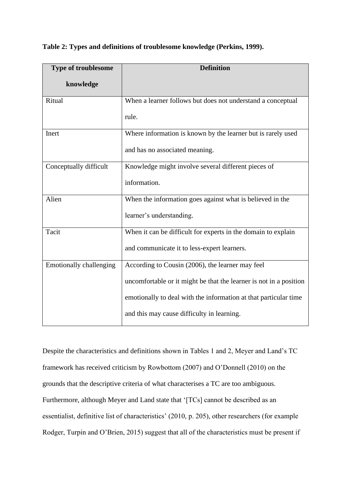| <b>Type of troublesome</b>     | <b>Definition</b>                                                  |
|--------------------------------|--------------------------------------------------------------------|
| knowledge                      |                                                                    |
| Ritual                         | When a learner follows but does not understand a conceptual        |
|                                | rule.                                                              |
| Inert                          | Where information is known by the learner but is rarely used       |
|                                | and has no associated meaning.                                     |
| Conceptually difficult         | Knowledge might involve several different pieces of                |
|                                | information.                                                       |
| Alien                          | When the information goes against what is believed in the          |
|                                | learner's understanding.                                           |
| Tacit                          | When it can be difficult for experts in the domain to explain      |
|                                | and communicate it to less-expert learners.                        |
| <b>Emotionally challenging</b> | According to Cousin (2006), the learner may feel                   |
|                                | uncomfortable or it might be that the learner is not in a position |
|                                | emotionally to deal with the information at that particular time   |
|                                | and this may cause difficulty in learning.                         |

|  | Table 2: Types and definitions of troublesome knowledge (Perkins, 1999). |  |  |
|--|--------------------------------------------------------------------------|--|--|
|  |                                                                          |  |  |

Despite the characteristics and definitions shown in Tables 1 and 2, Meyer and Land's TC framework has received criticism by Rowbottom (2007) and O'Donnell (2010) on the grounds that the descriptive criteria of what characterises a TC are too ambiguous. Furthermore, although Meyer and Land state that '[TCs] cannot be described as an essentialist, definitive list of characteristics' (2010, p. 205), other researchers (for example Rodger, Turpin and O'Brien, 2015) suggest that all of the characteristics must be present if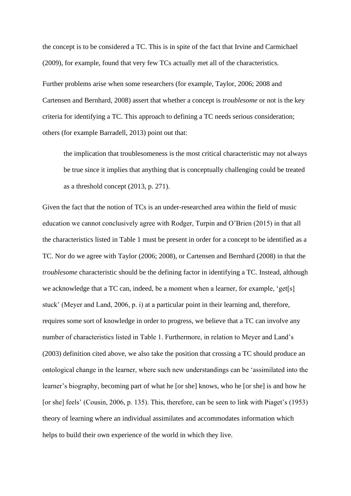the concept is to be considered a TC. This is in spite of the fact that Irvine and Carmichael (2009), for example, found that very few TCs actually met all of the characteristics.

Further problems arise when some researchers (for example, Taylor, 2006; 2008 and Cartensen and Bernhard, 2008) assert that whether a concept is *troublesome* or not is the key criteria for identifying a TC. This approach to defining a TC needs serious consideration; others (for example Barradell, 2013) point out that:

the implication that troublesomeness is the most critical characteristic may not always be true since it implies that anything that is conceptually challenging could be treated as a threshold concept (2013, p. 271).

Given the fact that the notion of TCs is an under-researched area within the field of music education we cannot conclusively agree with Rodger, Turpin and O'Brien (2015) in that all the characteristics listed in Table 1 must be present in order for a concept to be identified as a TC. Nor do we agree with Taylor (2006; 2008), or Cartensen and Bernhard (2008) in that the *troublesome* characteristic should be the defining factor in identifying a TC. Instead, although we acknowledge that a TC can, indeed, be a moment when a learner, for example, 'get[s] stuck' (Meyer and Land, 2006, p. i) at a particular point in their learning and, therefore, requires some sort of knowledge in order to progress, we believe that a TC can involve any number of characteristics listed in Table 1. Furthermore, in relation to Meyer and Land's (2003) definition cited above, we also take the position that crossing a TC should produce an ontological change in the learner, where such new understandings can be 'assimilated into the learner's biography, becoming part of what he [or she] knows, who he [or she] is and how he [or she] feels' (Cousin, 2006, p. 135). This, therefore, can be seen to link with Piaget's (1953) theory of learning where an individual assimilates and accommodates information which helps to build their own experience of the world in which they live.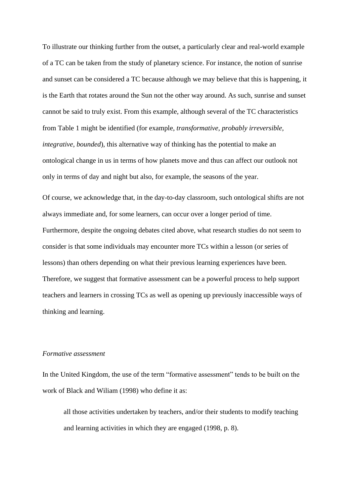To illustrate our thinking further from the outset, a particularly clear and real-world example of a TC can be taken from the study of planetary science. For instance, the notion of sunrise and sunset can be considered a TC because although we may believe that this is happening, it is the Earth that rotates around the Sun not the other way around. As such, sunrise and sunset cannot be said to truly exist. From this example, although several of the TC characteristics from Table 1 might be identified (for example, *transformative, probably irreversible, integrative, bounded*), this alternative way of thinking has the potential to make an ontological change in us in terms of how planets move and thus can affect our outlook not only in terms of day and night but also, for example, the seasons of the year.

Of course, we acknowledge that, in the day-to-day classroom, such ontological shifts are not always immediate and, for some learners, can occur over a longer period of time. Furthermore, despite the ongoing debates cited above, what research studies do not seem to consider is that some individuals may encounter more TCs within a lesson (or series of lessons) than others depending on what their previous learning experiences have been. Therefore, we suggest that formative assessment can be a powerful process to help support teachers and learners in crossing TCs as well as opening up previously inaccessible ways of thinking and learning.

## *Formative assessment*

In the United Kingdom, the use of the term "formative assessment" tends to be built on the work of Black and Wiliam (1998) who define it as:

all those activities undertaken by teachers, and/or their students to modify teaching and learning activities in which they are engaged (1998, p. 8).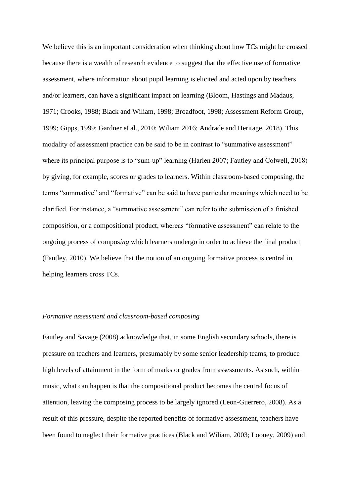We believe this is an important consideration when thinking about how TCs might be crossed because there is a wealth of research evidence to suggest that the effective use of formative assessment, where information about pupil learning is elicited and acted upon by teachers and/or learners, can have a significant impact on learning (Bloom, Hastings and Madaus, 1971; Crooks, 1988; Black and Wiliam, 1998; Broadfoot, 1998; Assessment Reform Group, 1999; Gipps, 1999; Gardner et al., 2010; Wiliam 2016; Andrade and Heritage, 2018). This modality of assessment practice can be said to be in contrast to "summative assessment" where its principal purpose is to "sum-up" learning (Harlen 2007; Fautley and Colwell, 2018) by giving, for example, scores or grades to learners. Within classroom-based composing, the terms "summative" and "formative" can be said to have particular meanings which need to be clarified. For instance, a "summative assessment" can refer to the submission of a finished compos*ition*, or a compositional product, whereas "formative assessment" can relate to the ongoing process of compos*ing* which learners undergo in order to achieve the final product (Fautley, 2010). We believe that the notion of an ongoing formative process is central in helping learners cross TCs.

### *Formative assessment and classroom-based composing*

Fautley and Savage (2008) acknowledge that, in some English secondary schools, there is pressure on teachers and learners, presumably by some senior leadership teams, to produce high levels of attainment in the form of marks or grades from assessments. As such, within music, what can happen is that the compositional product becomes the central focus of attention, leaving the composing process to be largely ignored (Leon-Guerrero, 2008). As a result of this pressure, despite the reported benefits of formative assessment, teachers have been found to neglect their formative practices (Black and Wiliam, 2003; Looney, 2009) and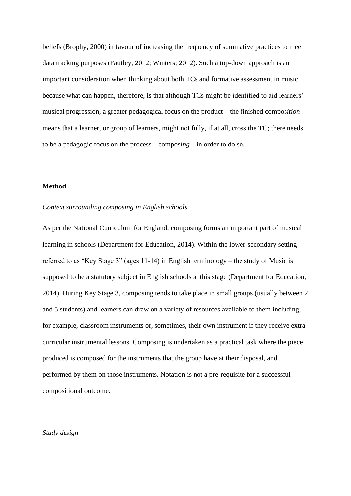beliefs (Brophy, 2000) in favour of increasing the frequency of summative practices to meet data tracking purposes (Fautley, 2012; Winters; 2012). Such a top-down approach is an important consideration when thinking about both TCs and formative assessment in music because what can happen, therefore, is that although TCs might be identified to aid learners' musical progression, a greater pedagogical focus on the product – the finished compos*ition* – means that a learner, or group of learners, might not fully, if at all, cross the TC; there needs to be a pedagogic focus on the process – compos*ing* – in order to do so.

## **Method**

### *Context surrounding composing in English schools*

As per the National Curriculum for England, composing forms an important part of musical learning in schools (Department for Education, 2014). Within the lower-secondary setting – referred to as "Key Stage 3" (ages 11-14) in English terminology – the study of Music is supposed to be a statutory subject in English schools at this stage (Department for Education, 2014). During Key Stage 3, composing tends to take place in small groups (usually between 2 and 5 students) and learners can draw on a variety of resources available to them including, for example, classroom instruments or, sometimes, their own instrument if they receive extracurricular instrumental lessons. Composing is undertaken as a practical task where the piece produced is composed for the instruments that the group have at their disposal, and performed by them on those instruments. Notation is not a pre-requisite for a successful compositional outcome.

### *Study design*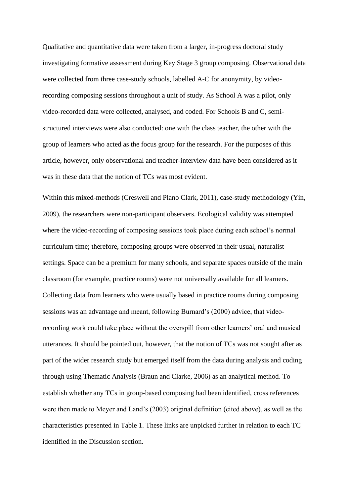Qualitative and quantitative data were taken from a larger, in-progress doctoral study investigating formative assessment during Key Stage 3 group composing. Observational data were collected from three case-study schools, labelled A-C for anonymity, by videorecording composing sessions throughout a unit of study. As School A was a pilot, only video-recorded data were collected, analysed, and coded. For Schools B and C, semistructured interviews were also conducted: one with the class teacher, the other with the group of learners who acted as the focus group for the research. For the purposes of this article, however, only observational and teacher-interview data have been considered as it was in these data that the notion of TCs was most evident.

Within this mixed-methods (Creswell and Plano Clark, 2011), case-study methodology (Yin, 2009), the researchers were non-participant observers. Ecological validity was attempted where the video-recording of composing sessions took place during each school's normal curriculum time; therefore, composing groups were observed in their usual, naturalist settings. Space can be a premium for many schools, and separate spaces outside of the main classroom (for example, practice rooms) were not universally available for all learners. Collecting data from learners who were usually based in practice rooms during composing sessions was an advantage and meant, following Burnard's (2000) advice, that videorecording work could take place without the overspill from other learners' oral and musical utterances. It should be pointed out, however, that the notion of TCs was not sought after as part of the wider research study but emerged itself from the data during analysis and coding through using Thematic Analysis (Braun and Clarke, 2006) as an analytical method. To establish whether any TCs in group-based composing had been identified, cross references were then made to Meyer and Land's (2003) original definition (cited above), as well as the characteristics presented in Table 1. These links are unpicked further in relation to each TC identified in the Discussion section.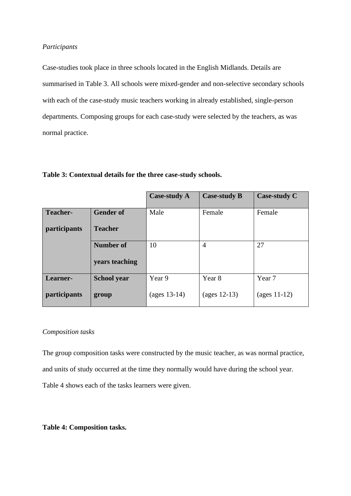## *Participants*

Case-studies took place in three schools located in the English Midlands. Details are summarised in Table 3. All schools were mixed-gender and non-selective secondary schools with each of the case-study music teachers working in already established, single-person departments. Composing groups for each case-study were selected by the teachers, as was normal practice.

|                 |                    | <b>Case-study A</b> | <b>Case-study B</b> | <b>Case-study C</b>               |
|-----------------|--------------------|---------------------|---------------------|-----------------------------------|
| <b>Teacher-</b> | <b>Gender of</b>   | Male                | Female              | Female                            |
| participants    | <b>Teacher</b>     |                     |                     |                                   |
|                 | Number of          | 10                  | $\overline{4}$      | 27                                |
|                 | years teaching     |                     |                     |                                   |
| Learner-        | <b>School year</b> | Year 9              | Year 8              | Year 7                            |
| participants    | group              | (ages 13-14)        | (ages $12-13$ )     | $\left(\text{ages } 11-12\right)$ |

### **Table 3: Contextual details for the three case-study schools.**

## *Composition tasks*

The group composition tasks were constructed by the music teacher, as was normal practice, and units of study occurred at the time they normally would have during the school year. Table 4 shows each of the tasks learners were given.

**Table 4: Composition tasks.**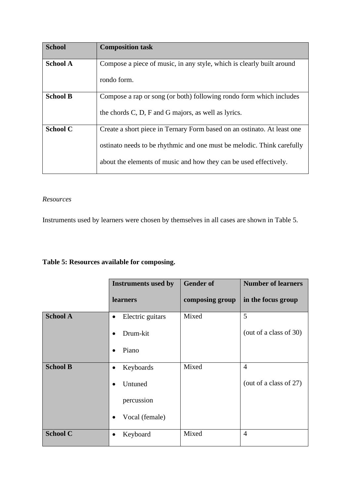| <b>School</b>   | <b>Composition task</b>                                                 |
|-----------------|-------------------------------------------------------------------------|
| <b>School A</b> | Compose a piece of music, in any style, which is clearly built around   |
|                 | rondo form.                                                             |
| <b>School B</b> | Compose a rap or song (or both) following rondo form which includes     |
|                 | the chords C, D, F and G majors, as well as lyrics.                     |
| <b>School C</b> | Create a short piece in Ternary Form based on an ostinato. At least one |
|                 | ostinato needs to be rhythmic and one must be melodic. Think carefully  |
|                 | about the elements of music and how they can be used effectively.       |

## *Resources*

Instruments used by learners were chosen by themselves in all cases are shown in Table 5.

## **Table 5: Resources available for composing.**

|                 | <b>Instruments used by</b>    | <b>Gender of</b> | <b>Number of learners</b> |
|-----------------|-------------------------------|------------------|---------------------------|
|                 | learners                      | composing group  | in the focus group        |
| <b>School A</b> | Electric guitars<br>$\bullet$ | Mixed            | 5                         |
|                 | Drum-kit                      |                  | (out of a class of 30)    |
|                 | Piano<br>$\bullet$            |                  |                           |
| <b>School B</b> | Keyboards<br>$\bullet$        | Mixed            | $\overline{4}$            |
|                 | Untuned                       |                  | (out of a class of 27)    |
|                 | percussion                    |                  |                           |
|                 | Vocal (female)                |                  |                           |
| <b>School C</b> | Keyboard                      | Mixed            | $\overline{4}$            |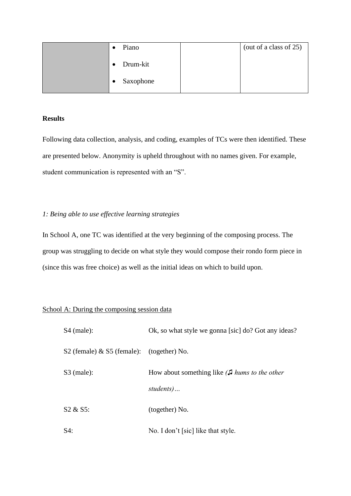|  | Piano     | (out of a class of 25) |
|--|-----------|------------------------|
|  | Drum-kit  |                        |
|  | Saxophone |                        |

## **Results**

Following data collection, analysis, and coding, examples of TCs were then identified. These are presented below. Anonymity is upheld throughout with no names given. For example, student communication is represented with an "S".

## *1: Being able to use effective learning strategies*

In School A, one TC was identified at the very beginning of the composing process. The group was struggling to decide on what style they would compose their rondo form piece in (since this was free choice) as well as the initial ideas on which to build upon.

## School A: During the composing session data

| $S4$ (male):                                 | Ok, so what style we gonna [sic] do? Got any ideas?                   |
|----------------------------------------------|-----------------------------------------------------------------------|
| S2 (female) $\&$ S5 (female): (together) No. |                                                                       |
| $S3$ (male):                                 | How about something like $\int$ <i>hums to the other</i><br>students) |
| $S2 \& S5$ :                                 | (together) No.                                                        |
| $S4$ :                                       | No. I don't [sic] like that style.                                    |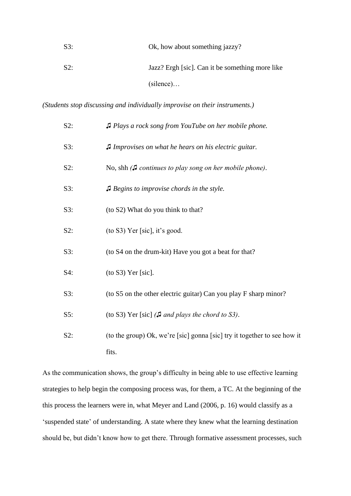| S3: | Ok, how about something jazzy?                  |
|-----|-------------------------------------------------|
| S2: | Jazz? Ergh [sic]. Can it be something more like |
|     | $(silence) \dots$                               |

*(Students stop discussing and individually improvise on their instruments.)*

| S2: | J Plays a rock song from YouTube on her mobile phone.                    |
|-----|--------------------------------------------------------------------------|
| S3: | J Improvises on what he hears on his electric guitar.                    |
| S2: | No, shh $J$ continues to play song on her mobile phone).                 |
| S3: | $\Box$ Begins to improvise chords in the style.                          |
| S3: | (to S2) What do you think to that?                                       |
| S2: | $($ to S3 $)$ Yer [sic], it's good.                                      |
| S3: | (to S4 on the drum-kit) Have you got a beat for that?                    |
| S4: | $($ to S3 $)$ Yer [sic].                                                 |
| S3: | (to S5 on the other electric guitar) Can you play F sharp minor?         |
| S5: | (to S3) Yer [sic] ( $\Box$ and plays the chord to S3).                   |
| S2: | (to the group) Ok, we're [sic] gonna [sic] try it together to see how it |
|     | fits.                                                                    |

As the communication shows, the group's difficulty in being able to use effective learning strategies to help begin the composing process was, for them, a TC. At the beginning of the this process the learners were in, what Meyer and Land (2006, p. 16) would classify as a 'suspended state' of understanding. A state where they knew what the learning destination should be, but didn't know how to get there. Through formative assessment processes, such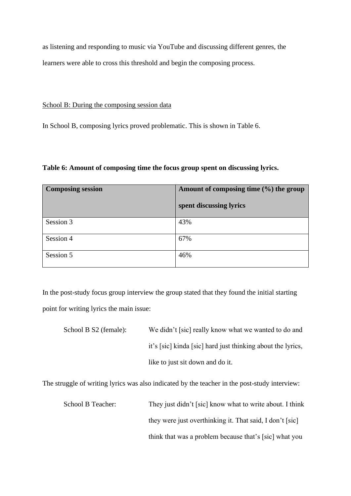as listening and responding to music via YouTube and discussing different genres, the learners were able to cross this threshold and begin the composing process.

## School B: During the composing session data

In School B, composing lyrics proved problematic. This is shown in Table 6.

**Table 6: Amount of composing time the focus group spent on discussing lyrics.**

| <b>Composing session</b> | Amount of composing time $(\% )$ the group |
|--------------------------|--------------------------------------------|
|                          | spent discussing lyrics                    |
| Session 3                | 43%                                        |
| Session 4                | 67%                                        |
| Session 5                | 46%                                        |

In the post-study focus group interview the group stated that they found the initial starting point for writing lyrics the main issue:

| School B S2 (female): | We didn't [sic] really know what we wanted to do and        |
|-----------------------|-------------------------------------------------------------|
|                       | it's [sic] kinda [sic] hard just thinking about the lyrics, |
|                       | like to just sit down and do it.                            |

The struggle of writing lyrics was also indicated by the teacher in the post-study interview:

School B Teacher: They just didn't [sic] know what to write about. I think they were just overthinking it. That said, I don't [sic] think that was a problem because that's [sic] what you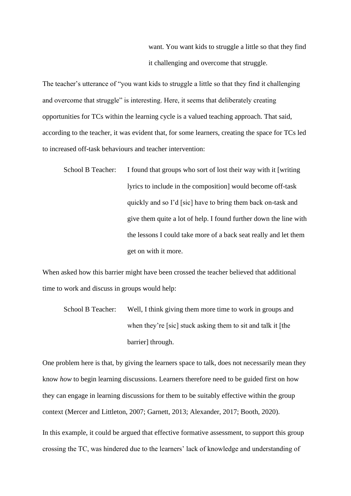want. You want kids to struggle a little so that they find it challenging and overcome that struggle.

The teacher's utterance of "you want kids to struggle a little so that they find it challenging and overcome that struggle" is interesting. Here, it seems that deliberately creating opportunities for TCs within the learning cycle is a valued teaching approach. That said, according to the teacher, it was evident that, for some learners, creating the space for TCs led to increased off-task behaviours and teacher intervention:

School B Teacher: I found that groups who sort of lost their way with it [writing lyrics to include in the composition] would become off-task quickly and so I'd [sic] have to bring them back on-task and give them quite a lot of help. I found further down the line with the lessons I could take more of a back seat really and let them get on with it more.

When asked how this barrier might have been crossed the teacher believed that additional time to work and discuss in groups would help:

School B Teacher: Well, I think giving them more time to work in groups and when they're [sic] stuck asking them to sit and talk it [the barrier] through.

One problem here is that, by giving the learners space to talk, does not necessarily mean they know *how* to begin learning discussions. Learners therefore need to be guided first on how they can engage in learning discussions for them to be suitably effective within the group context (Mercer and Littleton, 2007; Garnett, 2013; Alexander, 2017; Booth, 2020).

In this example, it could be argued that effective formative assessment, to support this group crossing the TC, was hindered due to the learners' lack of knowledge and understanding of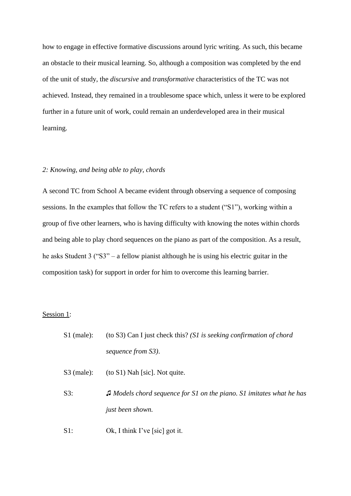how to engage in effective formative discussions around lyric writing. As such, this became an obstacle to their musical learning. So, although a composition was completed by the end of the unit of study, the *discursive* and *transformative* characteristics of the TC was not achieved. Instead, they remained in a troublesome space which, unless it were to be explored further in a future unit of work, could remain an underdeveloped area in their musical learning.

#### *2: Knowing, and being able to play, chords*

A second TC from School A became evident through observing a sequence of composing sessions. In the examples that follow the TC refers to a student ("S1"), working within a group of five other learners, who is having difficulty with knowing the notes within chords and being able to play chord sequences on the piano as part of the composition. As a result, he asks Student 3 ("S3" – a fellow pianist although he is using his electric guitar in the composition task) for support in order for him to overcome this learning barrier.

### Session 1:

- S1 (male): (to S3) Can I just check this? *(S1 is seeking confirmation of chord sequence from S3)*.
- S3 (male): (to S1) Nah [sic]. Not quite.
- S3: *♫ Models chord sequence for S1 on the piano. S1 imitates what he has just been shown.*
- S1: Ok, I think I've [sic] got it.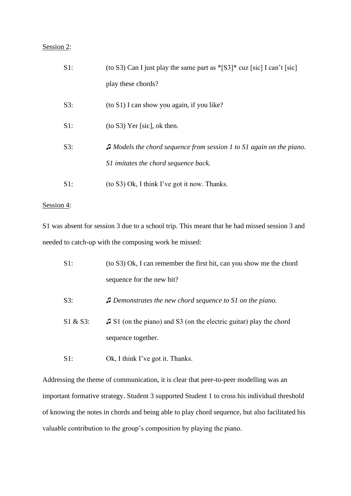## Session 2:

| $S1$ : | (to S3) Can I just play the same part as $\text{*}$ [S3] $\text{*}$ cuz [sic] I can't [sic] |
|--------|---------------------------------------------------------------------------------------------|
|        | play these chords?                                                                          |
| S3:    | (to S1) I can show you again, if you like?                                                  |
| $S1$ : | $($ to S3 $)$ Yer [sic], ok then.                                                           |
| $S3$ : | $\Box$ Models the chord sequence from session 1 to S1 again on the piano.                   |
|        | S1 imitates the chord sequence back.                                                        |
| $S1$ : | (to S3) Ok, I think I've got it now. Thanks.                                                |

## Session 4:

S1 was absent for session 3 due to a school trip. This meant that he had missed session 3 and needed to catch-up with the composing work he missed:

| $S1$ :      | (to S3) Ok, I can remember the first bit, can you show me the chord         |
|-------------|-----------------------------------------------------------------------------|
|             | sequence for the new bit?                                                   |
| $S3$ :      | $\Box$ Demonstrates the new chord sequence to S1 on the piano.              |
| $S1 & S3$ : | $\sqrt{3}$ S1 (on the piano) and S3 (on the electric guitar) play the chord |
|             | sequence together.                                                          |

S1: Ok, I think I've got it. Thanks.

Addressing the theme of communication, it is clear that peer-to-peer modelling was an important formative strategy. Student 3 supported Student 1 to cross his individual threshold of knowing the notes in chords and being able to play chord sequence, but also facilitated his valuable contribution to the group's composition by playing the piano.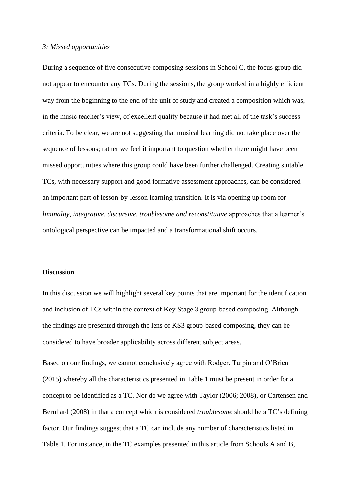### *3: Missed opportunities*

During a sequence of five consecutive composing sessions in School C, the focus group did not appear to encounter any TCs. During the sessions, the group worked in a highly efficient way from the beginning to the end of the unit of study and created a composition which was, in the music teacher's view, of excellent quality because it had met all of the task's success criteria. To be clear, we are not suggesting that musical learning did not take place over the sequence of lessons; rather we feel it important to question whether there might have been missed opportunities where this group could have been further challenged. Creating suitable TCs, with necessary support and good formative assessment approaches, can be considered an important part of lesson-by-lesson learning transition. It is via opening up room for *liminality, integrative, discursive, troublesome and reconstituitve* approaches that a learner's ontological perspective can be impacted and a transformational shift occurs.

### **Discussion**

In this discussion we will highlight several key points that are important for the identification and inclusion of TCs within the context of Key Stage 3 group-based composing. Although the findings are presented through the lens of KS3 group-based composing, they can be considered to have broader applicability across different subject areas.

Based on our findings, we cannot conclusively agree with Rodger, Turpin and O'Brien (2015) whereby all the characteristics presented in Table 1 must be present in order for a concept to be identified as a TC. Nor do we agree with Taylor (2006; 2008), or Cartensen and Bernhard (2008) in that a concept which is considered *troublesome* should be a TC's defining factor. Our findings suggest that a TC can include any number of characteristics listed in Table 1. For instance, in the TC examples presented in this article from Schools A and B,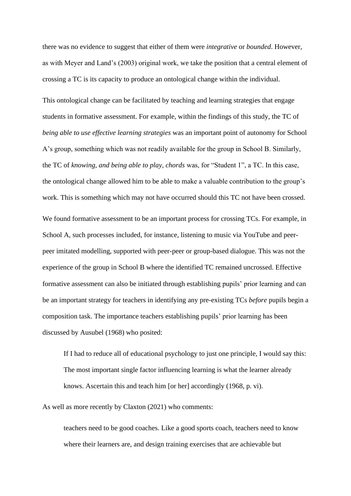there was no evidence to suggest that either of them were *integrative* or *bounded*. However, as with Meyer and Land's (2003) original work, we take the position that a central element of crossing a TC is its capacity to produce an ontological change within the individual.

This ontological change can be facilitated by teaching and learning strategies that engage students in formative assessment. For example, within the findings of this study, the TC of *being able to use effective learning strategies* was an important point of autonomy for School A's group, something which was not readily available for the group in School B. Similarly, the TC of *knowing, and being able to play, chords* was, for "Student 1", a TC. In this case, the ontological change allowed him to be able to make a valuable contribution to the group's work. This is something which may not have occurred should this TC not have been crossed. We found formative assessment to be an important process for crossing TCs. For example, in School A, such processes included, for instance, listening to music via YouTube and peerpeer imitated modelling, supported with peer-peer or group-based dialogue. This was not the experience of the group in School B where the identified TC remained uncrossed. Effective formative assessment can also be initiated through establishing pupils' prior learning and can be an important strategy for teachers in identifying any pre-existing TCs *before* pupils begin a composition task. The importance teachers establishing pupils' prior learning has been discussed by Ausubel (1968) who posited:

If I had to reduce all of educational psychology to just one principle, I would say this: The most important single factor influencing learning is what the learner already knows. Ascertain this and teach him [or her] accordingly (1968, p. vi).

As well as more recently by Claxton (2021) who comments:

teachers need to be good coaches. Like a good sports coach, teachers need to know where their learners are, and design training exercises that are achievable but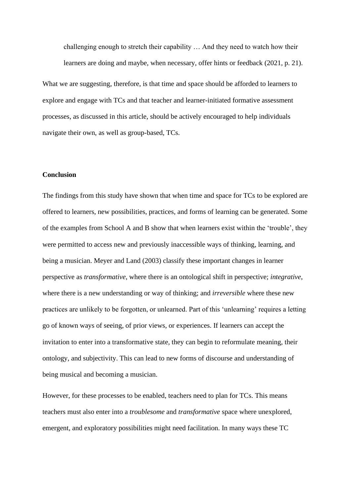challenging enough to stretch their capability … And they need to watch how their learners are doing and maybe, when necessary, offer hints or feedback (2021, p. 21).

What we are suggesting, therefore, is that time and space should be afforded to learners to explore and engage with TCs and that teacher and learner-initiated formative assessment processes, as discussed in this article, should be actively encouraged to help individuals navigate their own, as well as group-based, TCs.

## **Conclusion**

The findings from this study have shown that when time and space for TCs to be explored are offered to learners, new possibilities, practices, and forms of learning can be generated. Some of the examples from School A and B show that when learners exist within the 'trouble', they were permitted to access new and previously inaccessible ways of thinking, learning, and being a musician. Meyer and Land (2003) classify these important changes in learner perspective as *transformative*, where there is an ontological shift in perspective; *integrative*, where there is a new understanding or way of thinking; and *irreversible* where these new practices are unlikely to be forgotten, or unlearned. Part of this 'unlearning' requires a letting go of known ways of seeing, of prior views, or experiences. If learners can accept the invitation to enter into a transformative state, they can begin to reformulate meaning, their ontology, and subjectivity. This can lead to new forms of discourse and understanding of being musical and becoming a musician.

However, for these processes to be enabled, teachers need to plan for TCs. This means teachers must also enter into a *troublesome* and *transformative* space where unexplored, emergent, and exploratory possibilities might need facilitation. In many ways these TC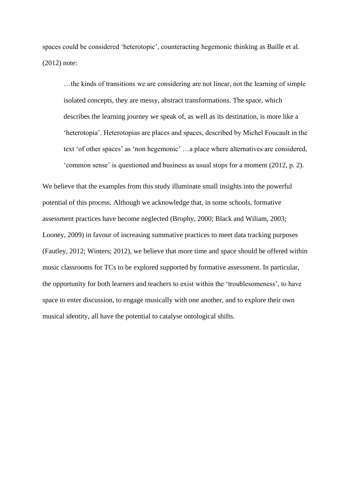spaces could be considered 'heterotopic', counteracting hegemonic thinking as Baille et al. (2012) note:

…the kinds of transitions we are considering are not linear, not the learning of simple isolated concepts, they are messy, abstract transformations. The space, which describes the learning journey we speak of, as well as its destination, is more like a 'heterotopia'. Heterotopias are places and spaces, described by Michel Foucault in the text 'of other spaces' as 'non hegemonic' …a place where alternatives are considered, 'common sense' is questioned and business as usual stops for a moment (2012, p. 2).

We believe that the examples from this study illuminate small insights into the powerful potential of this process. Although we acknowledge that, in some schools, formative assessment practices have become neglected (Brophy, 2000; Black and Wiliam, 2003; Looney, 2009) in favour of increasing summative practices to meet data tracking purposes (Fautley, 2012; Winters; 2012), we believe that more time and space should be offered within music classrooms for TCs to be explored supported by formative assessment. In particular, the opportunity for both learners and teachers to exist within the 'troublesomeness', to have space to enter discussion, to engage musically with one another, and to explore their own musical identity, all have the potential to catalyse ontological shifts.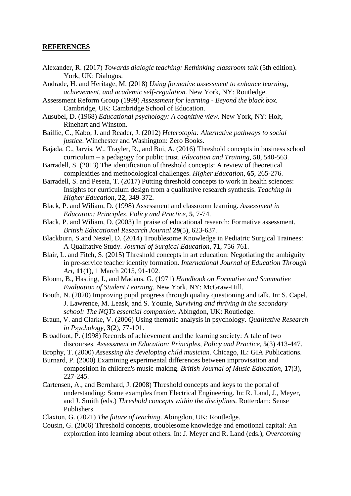## **REFERENCES**

- Alexander, R. (2017) *Towards dialogic teaching: Rethinking classroom talk* (5th edition). York, UK: Dialogos.
- Andrade, H. and Heritage, M. (2018) *Using formative assessment to enhance learning, achievement, and academic self-regulation.* New York, NY: Routledge.
- Assessment Reform Group (1999) *Assessment for learning - Beyond the black box.*  Cambridge, UK: Cambridge School of Education.
- Ausubel, D. (1968) *Educational psychology: A cognitive view*. New York, NY: Holt, Rinehart and Winston.
- Baillie, C., Kabo, J. and Reader, J. (2012) *Heterotopia: Alternative pathways to social justice*. Winchester and Washington: Zero Books.
- Bajada, C., Jarvis, W., Trayler, R., and Bui, A. (2016) Threshold concepts in business school curriculum – a pedagogy for public trust. *Education and Training,* **58**, 540-563.
- Barradell, S. (2013) The identification of threshold concepts: A review of theoretical complexities and methodological challenges. *Higher Education*, **65**, 265-276.
- Barradell, S. and Peseta, T. (2017) Putting threshold concepts to work in health sciences: Insights for curriculum design from a qualitative research synthesis. *Teaching in Higher Education,* **22**, 349-372.
- Black, P. and Wiliam, D. (1998) Assessment and classroom learning. *Assessment in Education: Principles, Policy and Practice*, **5**, 7-74.
- Black, P. and Wiliam, D. (2003) In praise of educational research: Formative assessment. *British Educational Research Journal* **29**(5), 623-637.
- Blackburn, S.and Nestel, D. (2014) Troublesome Knowledge in Pediatric Surgical Trainees: A Qualitative Study. *Journal of Surgical Education,* **71**, 756-761.
- Blair, L. and Fitch, S. (2015) Threshold concepts in art education: Negotiating the ambiguity in pre-service teacher identity formation. *International Journal of Education Through Art,* **11**(1), 1 March 2015, 91-102.
- Bloom, B., Hasting, J., and Madaus, G. (1971) *Handbook on Formative and Summative Evaluation of Student Learning.* New York, NY: McGraw-Hill.
- Booth, N. (2020) Improving pupil progress through quality questioning and talk. In: S. Capel, J. Lawrence, M. Leask, and S. Younie, *Surviving and thriving in the secondary school: The NQTs essential companion.* Abingdon, UK: Routledge.
- Braun, V. and Clarke, V. (2006) Using thematic analysis in psychology. *Qualitative Research in Psychology*, **3**(2), 77-101.
- Broadfoot, P. (1998) Records of achievement and the learning society: A tale of two discourses. *Assessment in Education: Principles, Policy and Practice,* **5**(3) 413-447.
- Brophy, T. (2000) *Assessing the developing child musician.* Chicago, IL: GIA Publications.
- Burnard, P. (2000) Examining experimental differences between improvisation and composition in children's music-making. *British Journal of Music Education,* **17**(3), 227-245.
- Cartensen, A., and Bernhard, J. (2008) Threshold concepts and keys to the portal of understanding: Some examples from Electrical Engineering. In: R. Land, J., Meyer, and J. Smith (eds.) *Threshold concepts within the disciplines.* Rotterdam: Sense Publishers.
- Claxton, G. (2021) *The future of teaching*. Abingdon, UK: Routledge.
- Cousin, G. (2006) Threshold concepts, troublesome knowledge and emotional capital: An exploration into learning about others. In: J. Meyer and R. Land (eds.), *Overcoming*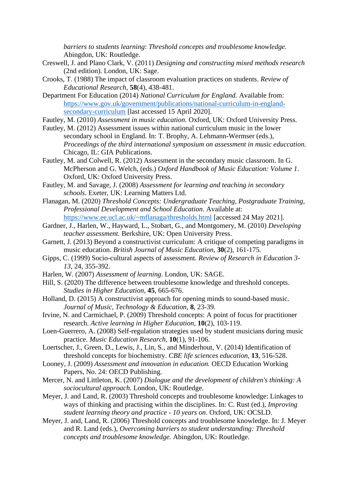*barriers to students learning*: *Threshold concepts and troublesome knowledge.* Abingdon, UK: Routledge.

- Creswell, J. and Plano Clark, V. (2011) *Designing and constructing mixed methods research* (2nd edition). London, UK: Sage.
- Crooks, T. (1988) The impact of classroom evaluation practices on students. *Review of Educational Research,* **58**(4), 438-481.
- Department For Education (2014) *National Curriculum for England.* Available from: [https://www.gov.uk/government/publications/national-curriculum-in-england](https://www.gov.uk/government/publications/national-curriculum-in-england-secondary-curriculum)[secondary-curriculum](https://www.gov.uk/government/publications/national-curriculum-in-england-secondary-curriculum) [last accessed 15 April 2020].
- Fautley, M. (2010) *Assessment in music education.* Oxford, UK: Oxford University Press.
- Fautley, M. (2012) Assessment issues within national curriculum music in the lower secondary school in England. In: T. Brophy, A. Lehmann-Wermser (eds.), *Proceedings of the third international symposium on assessment in music educcation.* Chicago, IL: GIA Publications.
- Fautley, M. and Colwell, R. (2012) Assessment in the secondary music classroom. In G. McPherson and G. Welch, (eds.) *Oxford Handbook of Music Education: Volume 1*. Oxford, UK: Oxford University Press.
- Fautley, M. and Savage, J. (2008) *Assessment for learning and teaching in secondary schools.* Exeter, UK: Learning Matters Ltd.
- Flanagan, M. (2020) *Threshold Concepts: Undergraduate Teaching, Postgraduate Training, Professional Development and School Education*. Available at: <https://www.ee.ucl.ac.uk/~mflanaga/thresholds.html> [accessed 24 May 2021].
- Gardner, J., Harlen, W., Hayward, L., Stobart, G., and Montgomery, M. (2010) *Developing teacher assessment.* Berkshire, UK: Open University Press.
- Garnett, J. (2013) Beyond a constructivist curriculum: A critique of competing paradigms in music education. *British Journal of Music Education*, **30**(2), 161-175*.*
- Gipps, C. (1999) Socio-cultural aspects of assessment. *Review of Research in Education 3- 13,* 24, 355-392.
- Harlen, W. (2007) *Assessment of learning*. London, UK: SAGE.
- Hill, S. (2020) The difference between troublesome knowledge and threshold concepts. *Studies in Higher Education,* **45**, 665-676.
- Holland, D. (2015) A constructivist approach for opening minds to sound-based music. *Journal of Music, Technology & Education*, **8**, 23-39.
- Irvine, N. and Carmichael, P. (2009) Threshold concepts: A point of focus for practitioner research. *Active learning in Higher Education,* **10**(2), 103-119.

Loen-Guerrero, A. (2008) Self-regulation strategies used by student musicians during music practice. *Music Education Research,* **10**(1), 91-106.

- Loertscher, J., Green, D., Lewis, J., Lin, S., and Minderhout, V. (2014) Identification of threshold concepts for biochemistry. *CBE life sciences education,* **13**, 516-528.
- Looney, J. (2009) *Assessment and innovation in education.* OECD Education Working Papers, No. 24: OECD Publishing.

Mercer, N. and Littleton, K. (2007) *Dialogue and the development of children's thinking: A sociocultural approach.* London, UK: Routledge.

- Meyer, J. and Land, R. (2003) Threshold concepts and troublesome knowledge: Linkages to ways of thinking and practising within the disciplines. In: C. Rust (ed.), *Improving student learning theory and practice - 10 years on*. Oxford, UK: OCSLD.
- Meyer, J. and, Land, R. (2006) Threshold concepts and troublesome knowledge. In: J. Meyer and R. Land (eds.), *Overcoming barriers to student understanding: Threshold concepts and troublesome knowledge.* Abingdon, UK: Routledge.